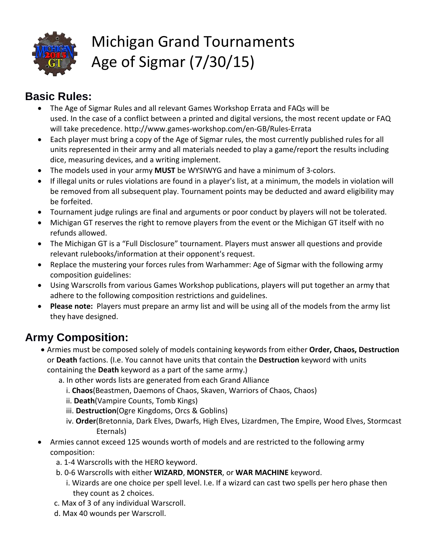

# Michigan Grand Tournaments Age of Sigmar (7/30/15)

# **Basic Rules:**

- The Age of Sigmar Rules and all relevant Games Workshop Errata and FAQs will be used. In the case of a conflict between a printed and digital versions, the most recent update or FAQ will take precedence. http://www.games-workshop.com/en-GB/Rules-Errata
- Each player must bring a copy of the Age of Sigmar rules, the most currently published rules for all units represented in their army and all materials needed to play a game/report the results including dice, measuring devices, and a writing implement.
- The models used in your army **MUST** be WYSIWYG and have a minimum of 3-colors.
- If illegal units or rules violations are found in a player's list, at a minimum, the models in violation will be removed from all subsequent play. Tournament points may be deducted and award eligibility may be forfeited.
- Tournament judge rulings are final and arguments or poor conduct by players will not be tolerated.
- Michigan GT reserves the right to remove players from the event or the Michigan GT itself with no refunds allowed.
- The Michigan GT is a "Full Disclosure" tournament. Players must answer all questions and provide relevant rulebooks/information at their opponent's request.
- Replace the mustering your forces rules from Warhammer: Age of Sigmar with the following army composition guidelines:
- Using Warscrolls from various Games Workshop publications, players will put together an army that adhere to the following composition restrictions and guidelines.
- **Please note:** Players must prepare an army list and will be using all of the models from the army list they have designed.

# **Army Composition:**

- Armies must be composed solely of models containing keywords from either **Order, Chaos, Destruction** or **Death** factions. (I.e. You cannot have units that contain the **Destruction** keyword with units containing the **Death** keyword as a part of the same army.)
	- a. In other words lists are generated from each Grand Alliance
		- i. **Chaos**(Beastmen, Daemons of Chaos, Skaven, Warriors of Chaos, Chaos)
		- ii. **Death**(Vampire Counts, Tomb Kings)
		- iii. **Destruction**(Ogre Kingdoms, Orcs & Goblins)
		- iv. **Order**(Bretonnia, Dark Elves, Dwarfs, High Elves, Lizardmen, The Empire, Wood Elves, Stormcast Eternals)
- Armies cannot exceed 125 wounds worth of models and are restricted to the following army composition:
	- a. 1-4 Warscrolls with the HERO keyword.
	- b. 0-6 Warscrolls with either **WIZARD**, **MONSTER**, or **WAR MACHINE** keyword.
		- i. Wizards are one choice per spell level. I.e. If a wizard can cast two spells per hero phase then they count as 2 choices.
	- c. Max of 3 of any individual Warscroll.
	- d. Max 40 wounds per Warscroll.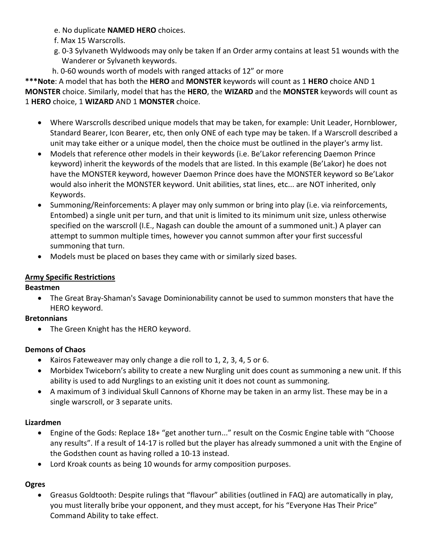- e. No duplicate **NAMED HERO** choices.
- f. Max 15 Warscrolls.
- g. 0-3 Sylvaneth Wyldwoods may only be taken If an Order army contains at least 51 wounds with the Wanderer or Sylvaneth keywords.
- h. 0-60 wounds worth of models with ranged attacks of 12" or more

**\*\*\*Note**: A model that has both the **HERO** and **MONSTER** keywords will count as 1 **HERO** choice AND 1 **MONSTER** choice. Similarly, model that has the **HERO**, the **WIZARD** and the **MONSTER** keywords will count as 1 **HERO** choice, 1 **WIZARD** AND 1 **MONSTER** choice.

- Where Warscrolls described unique models that may be taken, for example: Unit Leader, Hornblower, Standard Bearer, Icon Bearer, etc, then only ONE of each type may be taken. If a Warscroll described a unit may take either or a unique model, then the choice must be outlined in the player's army list.
- Models that reference other models in their keywords (i.e. Be'Lakor referencing Daemon Prince keyword) inherit the keywords of the models that are listed. In this example (Be'Lakor) he does not have the MONSTER keyword, however Daemon Prince does have the MONSTER keyword so Be'Lakor would also inherit the MONSTER keyword. Unit abilities, stat lines, etc... are NOT inherited, only Keywords.
- Summoning/Reinforcements: A player may only summon or bring into play (i.e. via reinforcements, Entombed) a single unit per turn, and that unit is limited to its minimum unit size, unless otherwise specified on the warscroll (I.E., Nagash can double the amount of a summoned unit.) A player can attempt to summon multiple times, however you cannot summon after your first successful summoning that turn.
- Models must be placed on bases they came with or similarly sized bases.

# **Army Specific Restrictions**

## **Beastmen**

• The Great Bray-Shaman's Savage Dominionability cannot be used to summon monsters that have the HERO keyword.

## **Bretonnians**

• The Green Knight has the HERO keyword.

## **Demons of Chaos**

- Kairos Fateweaver may only change a die roll to 1, 2, 3, 4, 5 or 6.
- Morbidex Twiceborn's ability to create a new Nurgling unit does count as summoning a new unit. If this ability is used to add Nurglings to an existing unit it does not count as summoning.
- A maximum of 3 individual Skull Cannons of Khorne may be taken in an army list. These may be in a single warscroll, or 3 separate units.

## **Lizardmen**

- Engine of the Gods: Replace 18+ "get another turn..." result on the Cosmic Engine table with "Choose any results". If a result of 14-17 is rolled but the player has already summoned a unit with the Engine of the Godsthen count as having rolled a 10-13 instead.
- Lord Kroak counts as being 10 wounds for army composition purposes.

# **Ogres**

• Greasus Goldtooth: Despite rulings that "flavour" abilities (outlined in FAQ) are automatically in play, you must literally bribe your opponent, and they must accept, for his "Everyone Has Their Price" Command Ability to take effect.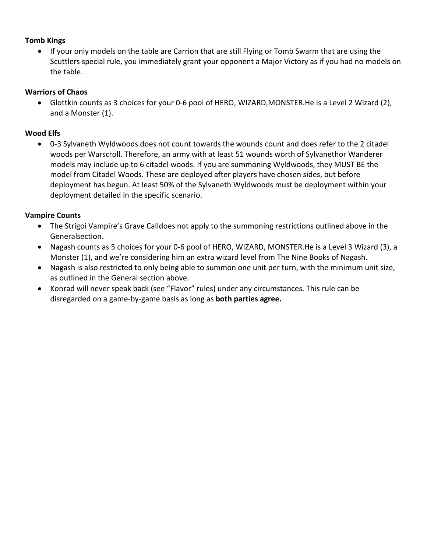#### **Tomb Kings**

• If your only models on the table are Carrion that are still Flying or Tomb Swarm that are using the Scuttlers special rule, you immediately grant your opponent a Major Victory as if you had no models on the table.

#### **Warriors of Chaos**

• Glottkin counts as 3 choices for your 0-6 pool of HERO, WIZARD,MONSTER.He is a Level 2 Wizard (2), and a Monster (1).

#### **Wood Elfs**

• 0-3 Sylvaneth Wyldwoods does not count towards the wounds count and does refer to the 2 citadel woods per Warscroll. Therefore, an army with at least 51 wounds worth of Sylvanethor Wanderer models may include up to 6 citadel woods. If you are summoning Wyldwoods, they MUST BE the model from Citadel Woods. These are deployed after players have chosen sides, but before deployment has begun. At least 50% of the Sylvaneth Wyldwoods must be deployment within your deployment detailed in the specific scenario.

#### **Vampire Counts**

- The Strigoi Vampire's Grave Calldoes not apply to the summoning restrictions outlined above in the Generalsection.
- Nagash counts as 5 choices for your 0-6 pool of HERO, WIZARD, MONSTER.He is a Level 3 Wizard (3), a Monster (1), and we're considering him an extra wizard level from The Nine Books of Nagash.
- Nagash is also restricted to only being able to summon one unit per turn, with the minimum unit size, as outlined in the General section above.
- Konrad will never speak back (see "Flavor" rules) under any circumstances. This rule can be disregarded on a game-by-game basis as long as **both parties agree.**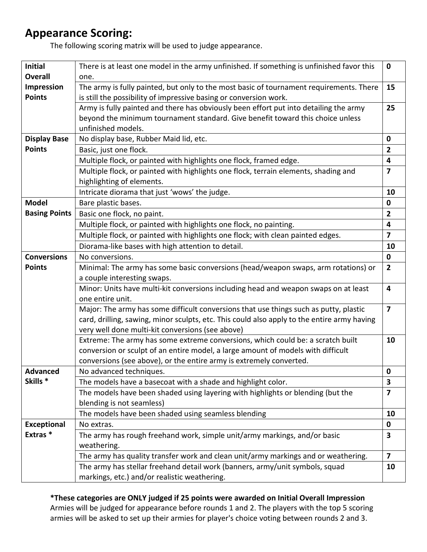# **Appearance Scoring:**

The following scoring matrix will be used to judge appearance.

| <b>Initial</b>       | There is at least one model in the army unfinished. If something is unfinished favor this                        | $\mathbf 0$             |  |
|----------------------|------------------------------------------------------------------------------------------------------------------|-------------------------|--|
| <b>Overall</b>       | one.                                                                                                             |                         |  |
| Impression           | The army is fully painted, but only to the most basic of tournament requirements. There<br>15                    |                         |  |
| <b>Points</b>        | is still the possibility of impressive basing or conversion work.                                                |                         |  |
|                      | Army is fully painted and there has obviously been effort put into detailing the army<br>25                      |                         |  |
|                      | beyond the minimum tournament standard. Give benefit toward this choice unless                                   |                         |  |
|                      | unfinished models.                                                                                               |                         |  |
| <b>Display Base</b>  | No display base, Rubber Maid lid, etc.<br>$\mathbf 0$                                                            |                         |  |
| <b>Points</b>        | Basic, just one flock.                                                                                           |                         |  |
|                      | Multiple flock, or painted with highlights one flock, framed edge.                                               | $\overline{\mathbf{4}}$ |  |
|                      | Multiple flock, or painted with highlights one flock, terrain elements, shading and                              | $\overline{7}$          |  |
|                      | highlighting of elements.                                                                                        |                         |  |
|                      | Intricate diorama that just 'wows' the judge.                                                                    | 10                      |  |
| <b>Model</b>         | Bare plastic bases.                                                                                              | $\mathbf 0$             |  |
| <b>Basing Points</b> | Basic one flock, no paint.                                                                                       | 2                       |  |
|                      | Multiple flock, or painted with highlights one flock, no painting.                                               | $\overline{\mathbf{4}}$ |  |
|                      | Multiple flock, or painted with highlights one flock; with clean painted edges.                                  | $\overline{7}$          |  |
|                      | Diorama-like bases with high attention to detail.                                                                | 10                      |  |
| <b>Conversions</b>   | No conversions.                                                                                                  | $\mathbf 0$             |  |
| <b>Points</b>        | Minimal: The army has some basic conversions (head/weapon swaps, arm rotations) or                               | $\overline{2}$          |  |
|                      | a couple interesting swaps.                                                                                      |                         |  |
|                      | Minor: Units have multi-kit conversions including head and weapon swaps on at least<br>$\overline{\mathbf{4}}$   |                         |  |
|                      | one entire unit.                                                                                                 |                         |  |
|                      | Major: The army has some difficult conversions that use things such as putty, plastic<br>$\overline{\mathbf{z}}$ |                         |  |
|                      | card, drilling, sawing, minor sculpts, etc. This could also apply to the entire army having                      |                         |  |
|                      | very well done multi-kit conversions (see above)                                                                 |                         |  |
|                      | Extreme: The army has some extreme conversions, which could be: a scratch built                                  |                         |  |
|                      | conversion or sculpt of an entire model, a large amount of models with difficult                                 |                         |  |
|                      | conversions (see above), or the entire army is extremely converted.                                              |                         |  |
| <b>Advanced</b>      | No advanced techniques.                                                                                          | $\mathbf 0$             |  |
| Skills <sup>*</sup>  | The models have a basecoat with a shade and highlight color.                                                     | 3                       |  |
|                      | The models have been shaded using layering with highlights or blending (but the                                  | 7                       |  |
|                      | blending is not seamless)                                                                                        |                         |  |
|                      | The models have been shaded using seamless blending                                                              | 10                      |  |
| <b>Exceptional</b>   | No extras.                                                                                                       | $\mathbf 0$             |  |
| Extras*              | The army has rough freehand work, simple unit/army markings, and/or basic                                        | 3                       |  |
|                      | weathering.                                                                                                      |                         |  |
|                      | The army has quality transfer work and clean unit/army markings and or weathering.                               | $\overline{7}$          |  |
|                      | The army has stellar freehand detail work (banners, army/unit symbols, squad                                     | 10                      |  |
|                      | markings, etc.) and/or realistic weathering.                                                                     |                         |  |

**\*These categories are ONLY judged if 25 points were awarded on Initial Overall Impression**

Armies will be judged for appearance before rounds 1 and 2. The players with the top 5 scoring armies will be asked to set up their armies for player's choice voting between rounds 2 and 3.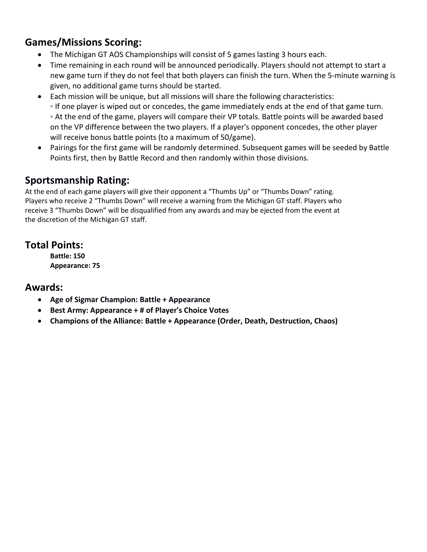# **Games/Missions Scoring:**

- The Michigan GT AOS Championships will consist of 5 games lasting 3 hours each.
- Time remaining in each round will be announced periodically. Players should not attempt to start a new game turn if they do not feel that both players can finish the turn. When the 5-minute warning is given, no additional game turns should be started.
- Each mission will be unique, but all missions will share the following characteristics: ◦ If one player is wiped out or concedes, the game immediately ends at the end of that game turn. ◦ At the end of the game, players will compare their VP totals. Battle points will be awarded based on the VP difference between the two players. If a player's opponent concedes, the other player will receive bonus battle points (to a maximum of 50/game).
- Pairings for the first game will be randomly determined. Subsequent games will be seeded by Battle Points first, then by Battle Record and then randomly within those divisions.

# **Sportsmanship Rating:**

At the end of each game players will give their opponent a "Thumbs Up" or "Thumbs Down" rating. Players who receive 2 "Thumbs Down" will receive a warning from the Michigan GT staff. Players who receive 3 "Thumbs Down" will be disqualified from any awards and may be ejected from the event at the discretion of the Michigan GT staff.

# **Total Points:**

**Battle: 150 Appearance: 75**

# **Awards:**

- **Age of Sigmar Champion: Battle + Appearance**
- **Best Army: Appearance + # of Player's Choice Votes**
- **Champions of the Alliance: Battle + Appearance (Order, Death, Destruction, Chaos)**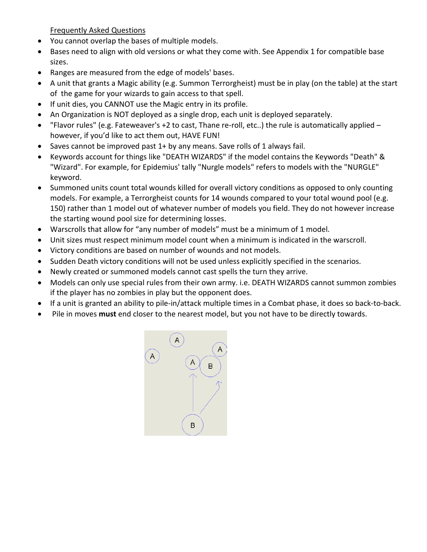Frequently Asked Questions

- You cannot overlap the bases of multiple models.
- Bases need to align with old versions or what they come with. See Appendix 1 for compatible base sizes.
- Ranges are measured from the edge of models' bases.
- A unit that grants a Magic ability (e.g. Summon Terrorgheist) must be in play (on the table) at the start of the game for your wizards to gain access to that spell.
- If unit dies, you CANNOT use the Magic entry in its profile.
- An Organization is NOT deployed as a single drop, each unit is deployed separately.
- "Flavor rules" (e.g. Fateweaver's +2 to cast, Thane re-roll, etc..) the rule is automatically applied  $$ however, if you'd like to act them out, HAVE FUN!
- Saves cannot be improved past 1+ by any means. Save rolls of 1 always fail.
- Keywords account for things like "DEATH WIZARDS" if the model contains the Keywords "Death" & "Wizard". For example, for Epidemius' tally "Nurgle models" refers to models with the "NURGLE" keyword.
- Summoned units count total wounds killed for overall victory conditions as opposed to only counting models. For example, a Terrorgheist counts for 14 wounds compared to your total wound pool (e.g. 150) rather than 1 model out of whatever number of models you field. They do not however increase the starting wound pool size for determining losses.
- Warscrolls that allow for "any number of models" must be a minimum of 1 model.
- Unit sizes must respect minimum model count when a minimum is indicated in the warscroll.
- Victory conditions are based on number of wounds and not models.
- Sudden Death victory conditions will not be used unless explicitly specified in the scenarios.
- Newly created or summoned models cannot cast spells the turn they arrive.
- Models can only use special rules from their own army. i.e. DEATH WIZARDS cannot summon zombies if the player has no zombies in play but the opponent does.
- If a unit is granted an ability to pile-in/attack multiple times in a Combat phase, it does so back-to-back.
- Pile in moves **must** end closer to the nearest model, but you not have to be directly towards.

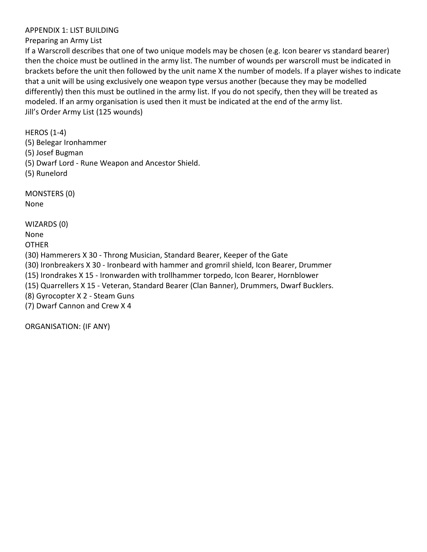#### APPENDIX 1: LIST BUILDING

#### Preparing an Army List

If a Warscroll describes that one of two unique models may be chosen (e.g. Icon bearer vs standard bearer) then the choice must be outlined in the army list. The number of wounds per warscroll must be indicated in brackets before the unit then followed by the unit name X the number of models. If a player wishes to indicate that a unit will be using exclusively one weapon type versus another (because they may be modelled differently) then this must be outlined in the army list. If you do not specify, then they will be treated as modeled. If an army organisation is used then it must be indicated at the end of the army list. Jill's Order Army List (125 wounds)

HEROS (1-4)

- (5) Belegar Ironhammer
- (5) Josef Bugman
- (5) Dwarf Lord Rune Weapon and Ancestor Shield.

(5) Runelord

MONSTERS (0) None

WIZARDS (0)

None

**OTHER** 

(30) Hammerers X 30 - Throng Musician, Standard Bearer, Keeper of the Gate

(30) Ironbreakers X 30 - Ironbeard with hammer and gromril shield, Icon Bearer, Drummer

(15) Irondrakes X 15 - Ironwarden with trollhammer torpedo, Icon Bearer, Hornblower

(15) Quarrellers X 15 - Veteran, Standard Bearer (Clan Banner), Drummers, Dwarf Bucklers.

(8) Gyrocopter X 2 - Steam Guns

(7) Dwarf Cannon and Crew X 4

ORGANISATION: (IF ANY)